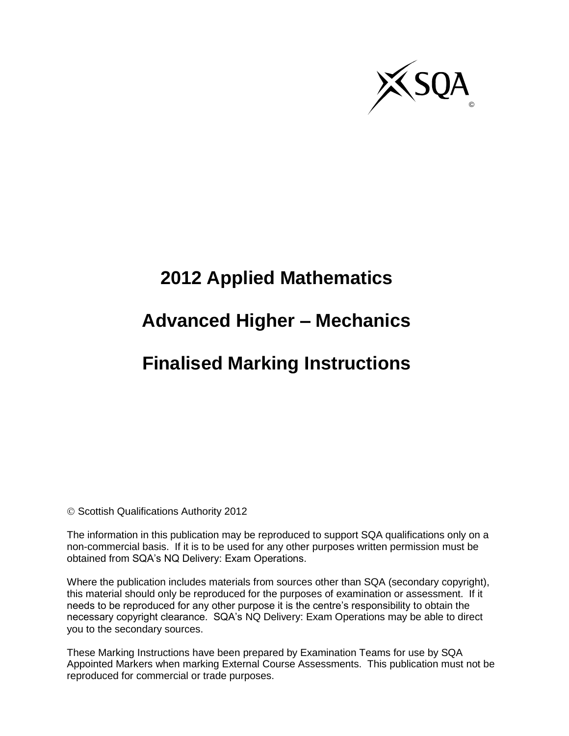

# **2012 Applied Mathematics**

### **Advanced Higher – Mechanics**

# **Finalised Marking Instructions**

© Scottish Qualifications Authority 2012

The information in this publication may be reproduced to support SQA qualifications only on a non-commercial basis. If it is to be used for any other purposes written permission must be obtained from SQA's NQ Delivery: Exam Operations.

Where the publication includes materials from sources other than SQA (secondary copyright), this material should only be reproduced for the purposes of examination or assessment. If it needs to be reproduced for any other purpose it is the centre's responsibility to obtain the necessary copyright clearance. SQA's NQ Delivery: Exam Operations may be able to direct you to the secondary sources.

These Marking Instructions have been prepared by Examination Teams for use by SQA Appointed Markers when marking External Course Assessments. This publication must not be reproduced for commercial or trade purposes.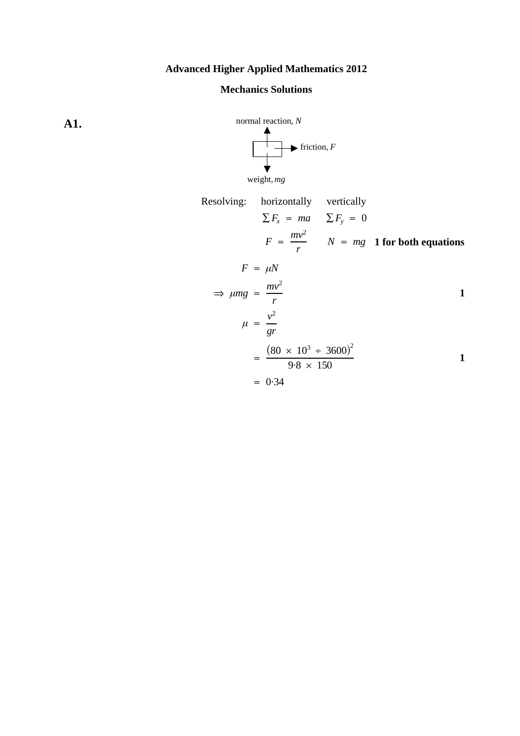### **Advanced Higher Applied Mathematics 2012**

#### **Mechanics Solutions**



**A1.**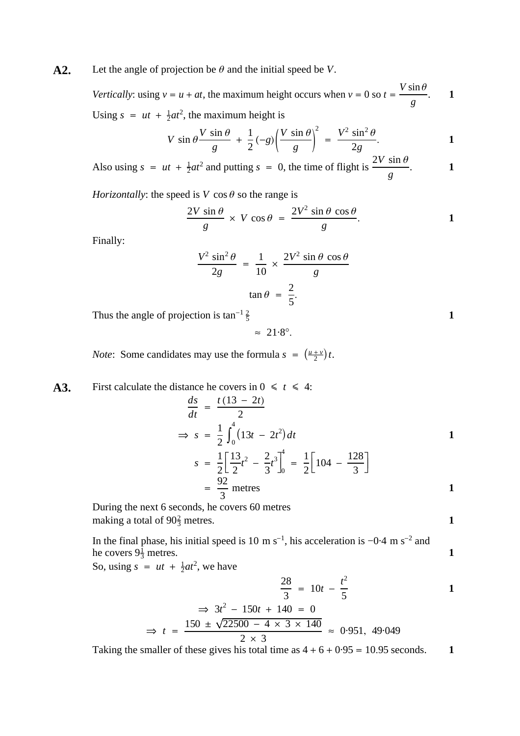#### **A2.** Let the angle of projection be *θ* and the initial speed be *V*.

*Vertically*: using  $v = u + at$ , the maximum height occurs when  $v = 0$  so  $t = \frac{V \sin \theta}{h}$ . 1 *g* Using  $s = ut + \frac{1}{2}at^2$ , the maximum height is

$$
V \sin \theta \frac{V \sin \theta}{g} + \frac{1}{2} (-g) \left( \frac{V \sin \theta}{g} \right)^2 = \frac{V^2 \sin^2 \theta}{2g}.
$$

Also using 
$$
s = ut + \frac{1}{2}at^2
$$
 and putting  $s = 0$ , the time of flight is  $\frac{2V \sin \theta}{g}$ .

*Horizontally:* the speed is *V* cos  $\theta$  so the range is

$$
\frac{2V\sin\theta}{g} \times V\cos\theta = \frac{2V^2\sin\theta\cos\theta}{g}.
$$

Finally:

$$
\frac{V^2 \sin^2 \theta}{2g} = \frac{1}{10} \times \frac{2V^2 \sin \theta \cos \theta}{g}
$$

$$
\tan \theta = \frac{2}{5}.
$$

Thus the angle of projection is  $\tan^{-1}\frac{2}{5}$  1

$$
\approx 21.8^{\circ}.
$$

*Note*: Some candidates may use the formula  $s = \left(\frac{u+v}{2}\right)t$ .

**A3.** First calculate the distance he covers in  $0 \le t \le 4$ :

$$
\frac{ds}{dt} = \frac{t(13 - 2t)}{2}
$$
\n
$$
\Rightarrow s = \frac{1}{2} \int_0^4 (13t - 2t^2) dt
$$
\n
$$
s = \frac{1}{2} \left[ \frac{13}{2}t^2 - \frac{2}{3}t^3 \right]_0^4 = \frac{1}{2} \left[ 104 - \frac{128}{3} \right]
$$
\n
$$
= \frac{92}{3} \text{ metres}
$$

During the next 6 seconds, he covers 60 metres making a total of  $90\frac{2}{3}$  metres. **1** 

In the final phase, his initial speed is 10 m s<sup>-1</sup>, his acceleration is  $-0.4$  m s<sup>-2</sup> and he covers  $9\frac{1}{3}$  metres. **1** 

So, using  $s = ut + \frac{1}{2}at^2$ , we have

$$
\frac{28}{3} = 10t - \frac{t^2}{5}
$$

$$
\Rightarrow 3t^2 - 150t + 140 = 0
$$
  

$$
\Rightarrow t = \frac{150 \pm \sqrt{22500 - 4 \times 3 \times 140}}{2 \times 3} \approx 0.951, 49.049
$$

Taking the smaller of these gives his total time as  $4 + 6 + 0.95 = 10.95$  seconds. **1**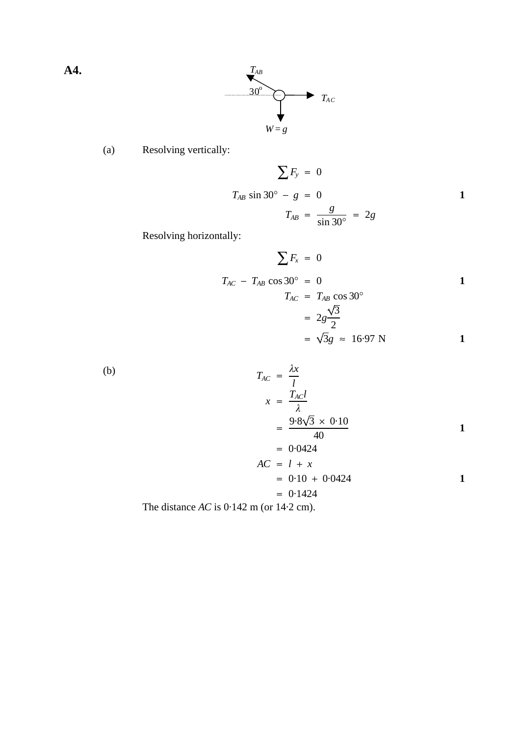**A4.**



(a) Resolving vertically:

$$
\sum F_y = 0
$$
  

$$
T_{AB} \sin 30^\circ - g = 0
$$
  

$$
T_{AB} = \frac{g}{\sin 30^\circ} = 2g
$$

Resolving horizontally:

$$
\sum F_x = 0
$$
  
\n
$$
T_{AC} - T_{AB} \cos 30^\circ = 0
$$
  
\n
$$
T_{AC} = T_{AB} \cos 30^\circ
$$
  
\n
$$
= 2g \frac{\sqrt{3}}{2}
$$
  
\n
$$
= \sqrt{3}g \approx 16.97 \text{ N}
$$

(b)  
\n
$$
T_{AC} = \frac{\lambda x}{l}
$$
\n
$$
x = \frac{T_{AC}l}{\lambda}
$$
\n
$$
= \frac{9.8\sqrt{3} \times 0.10}{40}
$$
\n
$$
= 0.0424
$$

$$
AC = l + x
$$
  
= 0.10 + 0.0424  
= 0.1424

The distance *AC* is 0·142 m (or 14·2 cm).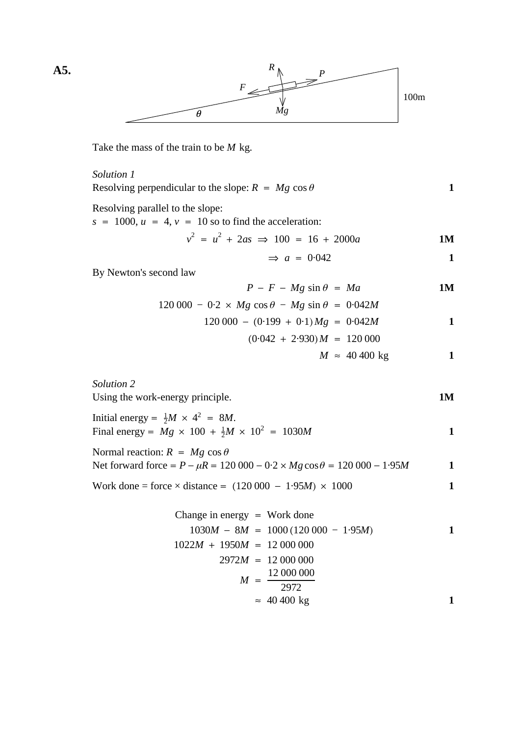

Take the mass of the train to be *M* kg.

| Solution 1<br>Resolving perpendicular to the slope: $R = Mg \cos \theta$                                               | $\mathbf{1}$ |
|------------------------------------------------------------------------------------------------------------------------|--------------|
| Resolving parallel to the slope:<br>$s = 1000, u = 4, v = 10$ so to find the acceleration:                             |              |
| $v^2 = u^2 + 2as \implies 100 = 16 + 2000a$                                                                            | <b>1M</b>    |
| $\Rightarrow$ a = 0.042                                                                                                | $\mathbf{1}$ |
| By Newton's second law                                                                                                 |              |
| $P - F - Mg \sin \theta = Ma$                                                                                          | <b>1M</b>    |
| $120\,000 - 0.2 \times Mg \cos\theta - Mg \sin\theta = 0.042M$                                                         |              |
| $120\,000 - (0.199 + 0.1)Mg = 0.042M$                                                                                  | $\mathbf{1}$ |
| $(0.042 + 2.930)M = 120000$                                                                                            |              |
| $M \approx 40400$ kg                                                                                                   | 1            |
| Solution 2                                                                                                             |              |
| Using the work-energy principle.                                                                                       | <b>1M</b>    |
| Initial energy = $\frac{1}{2}M \times 4^2 = 8M$ .<br>Final energy = $Mg \times 100 + \frac{1}{2}M \times 10^2 = 1030M$ | $\mathbf{1}$ |
| Normal reaction: $R = Mg \cos \theta$                                                                                  |              |
| Net forward force = $P - \mu R = 120000 - 0.2 \times Mg \cos \theta = 120000 - 1.95M$                                  | $\mathbf{1}$ |
| Work done = force $\times$ distance = (120 000 - 1.95 <i>M</i> ) $\times$ 1000                                         | $\mathbf{1}$ |
| Change in energy $=$ Work done                                                                                         |              |

$$
1030M - 8M = 1000 (120\ 000 - 1.95M)
$$
  
\n
$$
1022M + 1950M = 12\ 000\ 000
$$
  
\n
$$
2972M = 12\ 000\ 000
$$
  
\n
$$
M = \frac{12\ 000\ 000}{2972}
$$
  
\n
$$
\approx 40\ 400\ \text{kg}
$$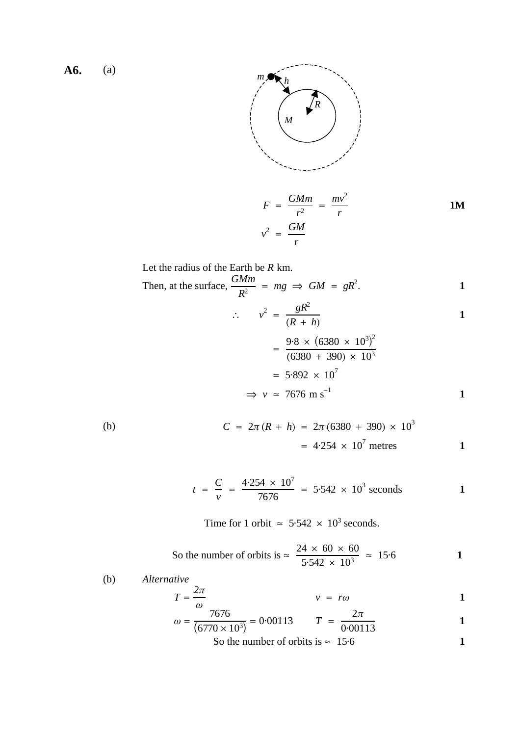**A6.** (a)



 $F = \frac{GMm}{r^2} = \frac{mv^2}{r}$ **1M**  $v^2 = \frac{GM}{\sqrt{2}}$ *r*

Let the radius of the Earth be R km.  
Then, at the surface, 
$$
\frac{GMm}{R^2} = mg \implies GM = gR^2
$$
.

$$
\therefore \qquad v^2 = \frac{gR^2}{(R+h)} \qquad \qquad 1
$$

$$
= \frac{9.8 \times (6380 \times 10^3)^2}{(6380 + 390) \times 10^3}
$$

$$
= 5.892 \times 10^7
$$

$$
\Rightarrow v \approx 7676 \text{ m s}^{-1}
$$

(b)  $C = 2\pi (R + h) = 2\pi (6380 + 390) \times 10^3$  $= 4.254 \times 10^7$  metres 1

$$
t = \frac{C}{v} = \frac{4.254 \times 10^7}{7676} = 5.542 \times 10^3
$$
 seconds

Time for 1 orbit  $\approx 5.542 \times 10^3$  seconds.

So the number of orbits is 
$$
\approx \frac{24 \times 60 \times 60}{5.542 \times 10^3} \approx 15.6
$$

(b) *Alternative*

$$
T = \frac{2\pi}{\omega} \qquad \qquad v = r\omega \qquad \qquad 1
$$

$$
\omega = \frac{7676}{(6770 \times 10^3)} = 0.00113 \qquad T = \frac{2\pi}{0.00113} \qquad 1
$$

So the number of orbits is  $\approx 15.6$  **1**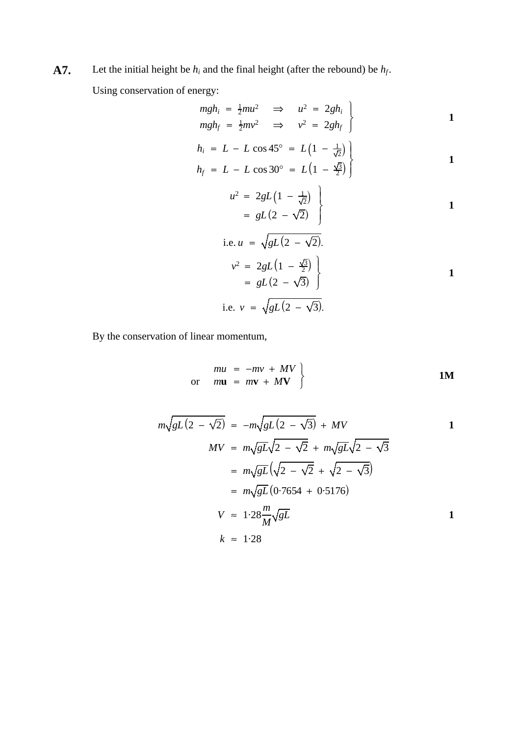**A7.** Let the initial height be  $h_i$  and the final height (after the rebound) be  $h_f$ .

Using conservation of energy:

$$
mgh_i = \frac{1}{2}mu^2 \implies u^2 = 2gh_i
$$
  

$$
mgh_f = \frac{1}{2}mv^2 \implies v^2 = 2gh_f
$$

$$
h_i = L - L \cos 45^\circ = L \left( 1 - \frac{1}{\sqrt{2}} \right) h_f = L - L \cos 30^\circ = L \left( 1 - \frac{\sqrt{3}}{2} \right)
$$

$$
u^2 = 2gL\left(1 - \frac{1}{\sqrt{2}}\right)
$$
  
=  $gL\left(2 - \sqrt{2}\right)$ 

i.e. 
$$
u = \sqrt{gL(2 - \sqrt{2})}
$$
.  
\n $v^2 = 2gL(1 - \frac{\sqrt{3}}{2})$   
\n $=gL(2 - \sqrt{3})$   
\ni.e.  $v = \sqrt{gL(2 - \sqrt{3})}$ .

By the conservation of linear momentum,

$$
\begin{array}{rcl}\nmu & = & -mv + MV \\
\text{or} & m\mathbf{u} & = & m\mathbf{v} + M\mathbf{V}\n\end{array}\n\bigg\}
$$

$$
m\sqrt{gL(2-\sqrt{2})} = -m\sqrt{gL(2-\sqrt{3})} + MV
$$
  
\n
$$
MV = m\sqrt{gL}\sqrt{2-\sqrt{2}} + m\sqrt{gL}\sqrt{2-\sqrt{3}}
$$
  
\n
$$
= m\sqrt{gL}(\sqrt{2-\sqrt{2}} + \sqrt{2-\sqrt{3}})
$$
  
\n
$$
= m\sqrt{gL}(0.7654 + 0.5176)
$$
  
\n
$$
V \approx 1.28 \frac{m}{M}\sqrt{gL}
$$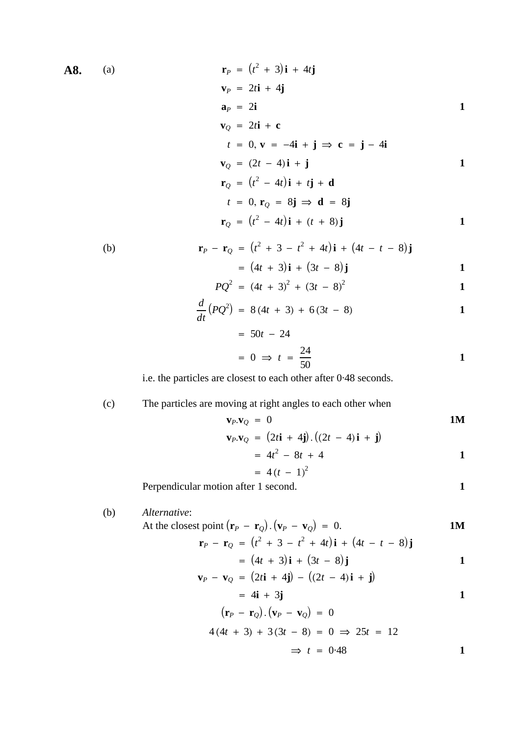A8. (a)  
\n
$$
\mathbf{r}_{P} = (t^{2} + 3)\mathbf{i} + 4t\mathbf{j}
$$
\n
$$
\mathbf{v}_{P} = 2t\mathbf{i} + 4\mathbf{j}
$$
\n
$$
\mathbf{a}_{P} = 2\mathbf{i}
$$
\n
$$
\mathbf{v}_{Q} = 2t\mathbf{i} + \mathbf{c}
$$
\n
$$
t = 0, \mathbf{v} = -4\mathbf{i} + \mathbf{j} \implies \mathbf{c} = \mathbf{j} - 4\mathbf{i}
$$
\n
$$
\mathbf{v}_{Q} = (2t - 4)\mathbf{i} + \mathbf{j}
$$
\n
$$
\mathbf{r}_{Q} = (t^{2} - 4t)\mathbf{i} + t\mathbf{j} + \mathbf{d}
$$
\n
$$
t = 0, \mathbf{r}_{Q} = 8\mathbf{j} \implies \mathbf{d} = 8\mathbf{j}
$$
\n
$$
\mathbf{r}_{Q} = (t^{2} - 4t)\mathbf{i} + (t + 8)\mathbf{j}
$$
\n
$$
\mathbf{r}_{P} - \mathbf{r}_{Q} = (t^{2} + 3 - t^{2} + 4t)\mathbf{i} + (4t - t - 8)\mathbf{j}
$$
\n
$$
= (4t + 3)\mathbf{i} + (3t - 8)\mathbf{j}
$$
\n1

$$
PQ^2 = (4t + 3)^2 + (3t - 8)^2
$$

$$
\frac{d}{dt}(PQ^2) = 8(4t + 3) + 6(3t - 8)
$$

$$
= 50t - 24
$$

$$
= 0 \Rightarrow t = \frac{24}{50}
$$

i.e. the particles are closest to each other after 0·48 seconds.

(c) The particles are moving at right angles to each other when

$$
\mathbf{v}_P \cdot \mathbf{v}_Q = 0 \tag{1M}
$$

$$
\mathbf{v}_P \cdot \mathbf{v}_Q = (2t\mathbf{i} + 4\mathbf{j}) \cdot ((2t - 4)\mathbf{i} + \mathbf{j})
$$
  
=  $4t^2 - 8t + 4$ 

$$
= 4t - 8t + 4
$$
  
= 4(t - 1)<sup>2</sup>

Perpendicular motion after 1 second. **1**

(b) *Alternative*:

### At the closest point  $(\mathbf{r}_P - \mathbf{r}_Q) \cdot (\mathbf{v}_P - \mathbf{v}_Q) = 0.$  1M

$$
\mathbf{r}_P - \mathbf{r}_Q = (t^2 + 3 - t^2 + 4t)\mathbf{i} + (4t - t - 8)\mathbf{j}
$$
  
=  $(4t + 3)\mathbf{i} + (3t - 8)\mathbf{j}$ 

$$
\mathbf{v}_P - \mathbf{v}_Q = (2t\mathbf{i} + 4\mathbf{j}) - ((2t - 4)\mathbf{i} + \mathbf{j})
$$
  
= 4\mathbf{i} + 3\mathbf{j}

$$
(\mathbf{r}_P - \mathbf{r}_Q).(\mathbf{v}_P - \mathbf{v}_Q) = 0
$$
  
4(4t + 3) + 3(3t - 8) = 0 \Rightarrow 25t = 12  

$$
\Rightarrow t = 0.48
$$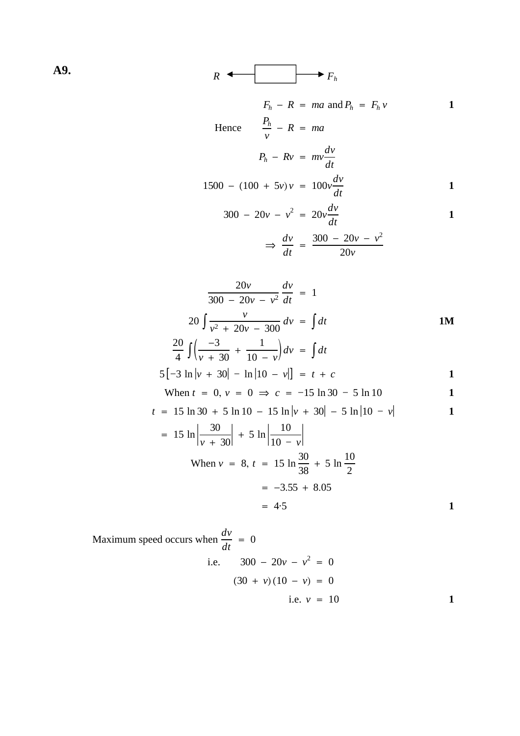$$
R \leftarrow \qquad \qquad R \leftarrow \qquad \qquad F_h
$$

 $F_h - R = ma$  and  $P_h = F_h v$  **1** 

Hence *Ph*  $\frac{v_n}{v} - R = ma$ 

$$
P_h - R v = m v \frac{dv}{dt}
$$

$$
1500 - (100 + 5v)v = 100v \frac{dv}{dt}
$$

$$
300 - 20v - v2 = 20v \frac{dv}{dt}
$$

$$
\Rightarrow \frac{dv}{dt} = \frac{300 - 20v - v2}{20v}
$$

$$
\frac{20v}{300 - 20v - v^2} \frac{dv}{dt} = 1
$$
  
20  $\int \frac{v}{v^2 + 20v - 300} dv = \int dt$   
 $\frac{20}{4} \int \left(\frac{-3}{v + 30} + \frac{1}{10 - v}\right) dv = \int dt$ 

$$
5[-3 \ln |v + 30| - \ln |10 - v|] = t + c
$$

When 
$$
t = 0
$$
,  $v = 0 \implies c = -15 \ln 30 - 5 \ln 10$  1

$$
t = 15 \ln 30 + 5 \ln 10 - 15 \ln |v + 30| - 5 \ln |10 - v|
$$

$$
= 15 \ln \left| \frac{30}{v + 30} \right| + 5 \ln \left| \frac{10}{10 - v} \right|
$$
  
When  $v = 8$ ,  $t = 15 \ln \frac{30}{38} + 5 \ln \frac{10}{2}$   
 $= -3.55 + 8.05$   
 $= 4.5$ 

Maximum speed occurs when 
$$
\frac{dv}{dt} = 0
$$
  
\ni.e.  $300 - 20v - v^2 = 0$   
\n $(30 + v)(10 - v) = 0$   
\ni.e.  $v = 10$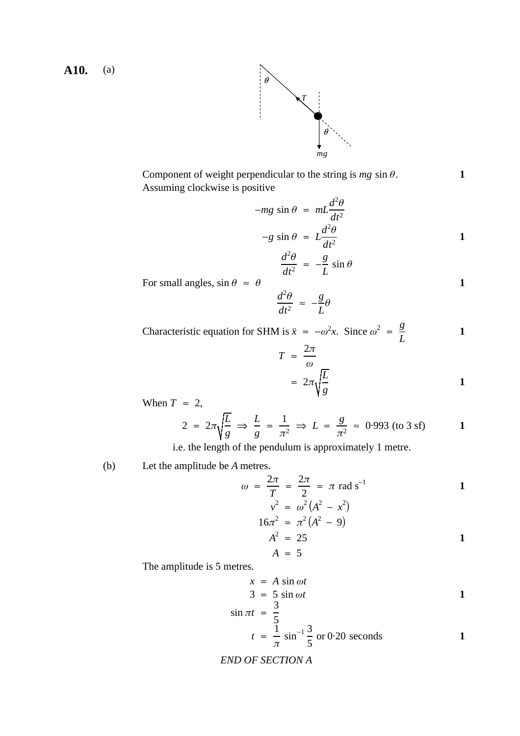**A10.** (a)



Component of weight perpendicular to the string is  $mg \sin \theta$ . **1** Assuming clockwise is positive

$$
-mg \sin \theta = mL \frac{d^2 \theta}{dt^2}
$$
  

$$
-g \sin \theta = L \frac{d^2 \theta}{dt^2}
$$
  

$$
\frac{d^2 \theta}{dt^2} = -\frac{g}{L} \sin \theta
$$

For small angles,  $\sin \theta \approx \theta$  **1** 

$$
\frac{d^2\theta}{dt^2} \approx -\frac{g}{L}\theta
$$

Characteristic equation for SHM is  $\ddot{x} = -\omega^2 x$ . Since  $\omega^2 = \frac{g}{f}$  1 *L*

$$
T = \frac{2\pi}{\omega}
$$
  
=  $2\pi \sqrt{\frac{L}{g}}$ 

When  $T = 2$ ,

$$
2 = 2\pi \sqrt{\frac{L}{g}} \Rightarrow \frac{L}{g} = \frac{1}{\pi^2} \Rightarrow L = \frac{g}{\pi^2} \approx 0.993 \text{ (to 3 sf)}
$$

i.e. the length of the pendulum is approximately 1 metre.

(b) Let the amplitude be *A* metres.

$$
\omega = \frac{2\pi}{T} = \frac{2\pi}{2} = \pi \text{ rad s}^{-1}
$$

$$
v^{2} = \omega^{2}(A^{2} - x^{2})
$$
  
\n
$$
16\pi^{2} = \pi^{2}(A^{2} - 9)
$$
  
\n
$$
A^{2} = 25
$$

*A* = 5

The amplitude is 5 metres.

$$
x = A \sin \omega t
$$
  
3 = 5 \sin \omega t  
1

$$
\sin \pi t = \frac{3}{5}
$$
  

$$
t = \frac{1}{\pi} \sin^{-1} \frac{3}{5} \text{ or } 0.20 \text{ seconds}
$$

#### *END OF SECTION A*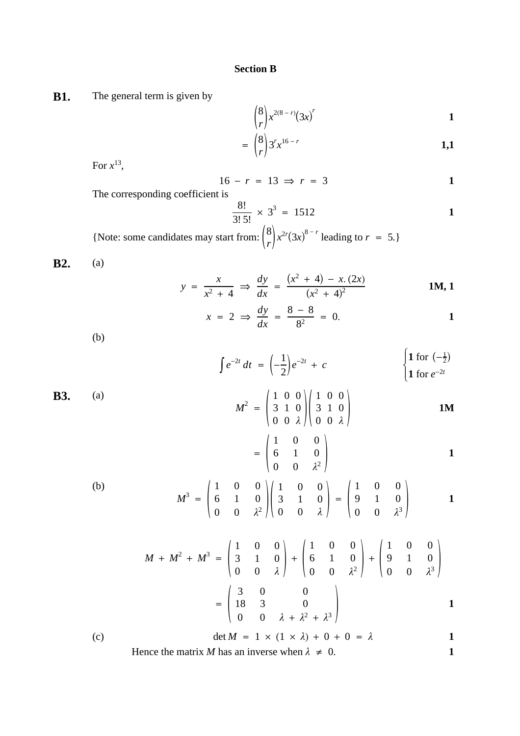#### **Section B**

**B1.** The general term is given by

$$
\binom{8}{r} x^{2(8-r)}(3x)^r \hspace{1cm} 1
$$

$$
= {8 \choose r} 3^r x^{16-r}
$$

For  $x^{13}$ ,

$$
16 - r = 13 \Rightarrow r = 3
$$

The corresponding coefficient is

$$
\frac{8!}{3! \, 5!} \times 3^3 = 1512
$$

{Note: some candidates may start from:  $\binom{8}{r} x^{2r} (3x)^{8-r}$  leading to  $r = 5$ .}

**B2.** (a)

$$
y = \frac{x}{x^2 + 4} \implies \frac{dy}{dx} = \frac{(x^2 + 4) - x.(2x)}{(x^2 + 4)^2}
$$
 1M, 1

$$
x = 2 \implies \frac{dy}{dx} = \frac{8 - 8}{8^2} = 0.
$$

(b)

$$
\int e^{-2t} dt = \left(-\frac{1}{2}\right) e^{-2t} + c \qquad \qquad \begin{cases} 1 \text{ for } (-\frac{1}{2}) \\ 1 \text{ for } e^{-2t} \end{cases}
$$

**B3.** (a) 
$$
M^2 = \begin{pmatrix} 1 & 0 & 0 \\ 3 & 1 & 0 \\ 0 & 0 & \lambda \end{pmatrix} \begin{pmatrix} 1 & 0 & 0 \\ 3 & 1 & 0 \\ 0 & 0 & \lambda \end{pmatrix}
$$
 1M

$$
= \begin{pmatrix} 1 & 0 & 0 \\ 6 & 1 & 0 \\ 0 & 0 & \lambda^2 \end{pmatrix}
$$
 1

(b) 
$$
M^3 = \begin{pmatrix} 1 & 0 & 0 \\ 6 & 1 & 0 \\ 0 & 0 & \lambda^2 \end{pmatrix} \begin{pmatrix} 1 & 0 & 0 \\ 3 & 1 & 0 \\ 0 & 0 & \lambda \end{pmatrix} = \begin{pmatrix} 1 & 0 & 0 \\ 9 & 1 & 0 \\ 0 & 0 & \lambda^3 \end{pmatrix}
$$

$$
M + M^{2} + M^{3} = \begin{pmatrix} 1 & 0 & 0 \\ 3 & 1 & 0 \\ 0 & 0 & \lambda \end{pmatrix} + \begin{pmatrix} 1 & 0 & 0 \\ 6 & 1 & 0 \\ 0 & 0 & \lambda^{2} \end{pmatrix} + \begin{pmatrix} 1 & 0 & 0 \\ 9 & 1 & 0 \\ 0 & 0 & \lambda^{3} \end{pmatrix}
$$

$$
= \begin{pmatrix} 3 & 0 & 0 \\ 18 & 3 & 0 \\ 0 & 0 & \lambda + \lambda^{2} + \lambda^{3} \end{pmatrix}
$$

(c) 
$$
\det M = 1 \times (1 \times \lambda) + 0 + 0 = \lambda
$$

Hence the matrix *M* has an inverse when  $\lambda \neq 0$ .